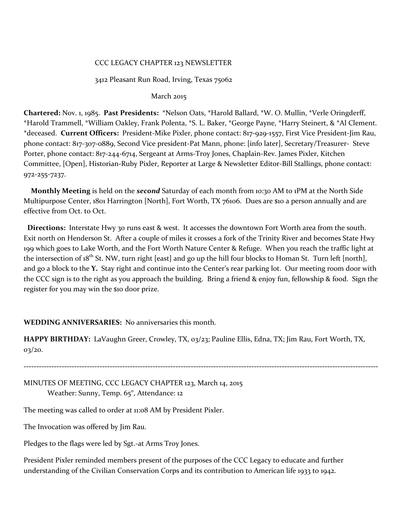### CCC LEGACY CHAPTER 123 NEWSLETTER

### 3412 Pleasant Run Road, Irving, Texas 75062

#### March 2015

**Chartered:** Nov. 1, 1985. **Past Presidents:** \*Nelson Oats, \*Harold Ballard, \*W. O. Mullin, \*Verle Oringderff, \*Harold Trammell, \*William Oakley, Frank Polenta, \*S. L. Baker, \*George Payne, \*Harry Steinert, & \*Al Clement. \*deceased. **Current Officers:** President-Mike Pixler, phone contact: 817-929-1557, First Vice President-Jim Rau, phone contact: 817-3o7-0889, Second Vice president-Pat Mann, phone: [info later], Secretary/Treasurer- Steve Porter, phone contact: 817-244-6714, Sergeant at Arms-Troy Jones, Chaplain-Rev. James Pixler, Kitchen Committee, [Open], Historian-Ruby Pixler, Reporter at Large & Newsletter Editor-Bill Stallings, phone contact: 972-255-7237.

 **Monthly Meeting** is held on the *second* Saturday of each month from 10:30 AM to 1PM at the North Side Multipurpose Center, 1801 Harrington [North], Fort Worth, TX 76106. Dues are \$10 a person annually and are effective from Oct. to Oct.

 **Directions:** Interstate Hwy 30 runs east & west. It accesses the downtown Fort Worth area from the south. Exit north on Henderson St. After a couple of miles it crosses a fork of the Trinity River and becomes State Hwy 199 which goes to Lake Worth, and the Fort Worth Nature Center & Refuge. When you reach the traffic light at the intersection of  $18^{th}$  St. NW, turn right [east] and go up the hill four blocks to Homan St. Turn left [north], and go a block to the **Y.** Stay right and continue into the Center's rear parking lot. Our meeting room door with the CCC sign is to the right as you approach the building. Bring a friend & enjoy fun, fellowship & food. Sign the register for you may win the \$10 door prize.

#### **WEDDING ANNIVERSARIES:** No anniversaries this month.

**HAPPY BIRTHDAY:** LaVaughn Greer, Crowley, TX, 03/23; Pauline Ellis, Edna, TX; Jim Rau, Fort Worth, TX, 03/20.

**--------------------------------------------------------------------------------------------------------------------------------------------** MINUTES OF MEETING, CCC LEGACY CHAPTER 123, March 14, 2015

Weather: Sunny, Temp. 65°, Attendance: 12

The meeting was called to order at 11:08 AM by President Pixler.

The Invocation was offered by Jim Rau.

Pledges to the flags were led by Sgt.-at Arms Troy Jones.

President Pixler reminded members present of the purposes of the CCC Legacy to educate and further understanding of the Civilian Conservation Corps and its contribution to American life 1933 to 1942.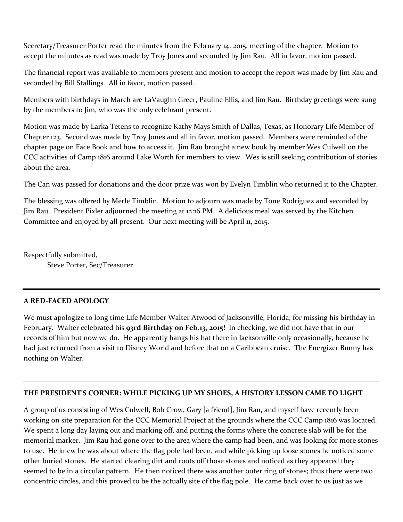Secretary/Treasurer Porter read the minutes from the February 14, 2015, meeting of the chapter. Motion to accept the minutes as read was made by Troy Jones and seconded by Jim Rau. All in favor, motion passed.

The financial report was available to members present and motion to accept the report was made by Jim Rau and seconded by Bill Stallings. All in favor, motion passed.

Members with birthdays in March are LaVaughn Greer, Pauline Ellis, and Jim Rau. Birthday greetings were sung by the members to Jim, who was the only celebrant present.

Motion was made by Larka Tetens to recognize Kathy Mays Smith of Dallas, Texas, as Honorary Life Member of Chapter 123. Second was made by Troy Jones and all in favor, motion passed. Members were reminded of the chapter page on Face Book and how to access it. Jim Rau brought a new book by member Wes Culwell on the CCC activities of Camp 1816 around Lake Worth for members to view. Wes is still seeking contribution of stories about the area.

The Can was passed for donations and the door prize was won by Evelyn Timblin who returned it to the Chapter.

The blessing was offered by Merle Timblin. Motion to adjourn was made by Tone Rodriguez and seconded by Jim Rau. President Pixler adjourned the meeting at 12:16 PM. A delicious meal was served by the Kitchen Committee and enjoyed by all present. Our next meeting will be April 11, 2015.

Respectfully submitted,

Steve Porter, Sec/Treasurer

# **A RED-FACED APOLOGY**

We must apologize to long time Life Member Walter Atwood of Jacksonville, Florida, for missing his birthday in February. Walter celebrated his **93rd Birthday on Feb.13, 2015!** In checking, we did not have that in our records of him but now we do. He apparently hangs his hat there in Jacksonville only occasionally, because he had just returned from a visit to Disney World and before that on a Caribbean cruise. The Energizer Bunny has nothing on Walter.

# **THE PRESIDENT'S CORNER: WHILE PICKING UP MY SHOES, A HISTORY LESSON CAME TO LIGHT**

A group of us consisting of Wes Culwell, Bob Crow, Gary [a friend], Jim Rau, and myself have recently been working on site preparation for the CCC Memorial Project at the grounds where the CCC Camp 1816 was located. We spent a long day laying out and marking off, and putting the forms where the concrete slab will be for the memorial marker. Jim Rau had gone over to the area where the camp had been, and was looking for more stones to use. He knew he was about where the flag pole had been, and while picking up loose stones he noticed some other buried stones. He started clearing dirt and roots off those stones and noticed as they appeared they seemed to be in a circular pattern. He then noticed there was another outer ring of stones; thus there were two concentric circles, and this proved to be the actually site of the flag pole. He came back over to us just as we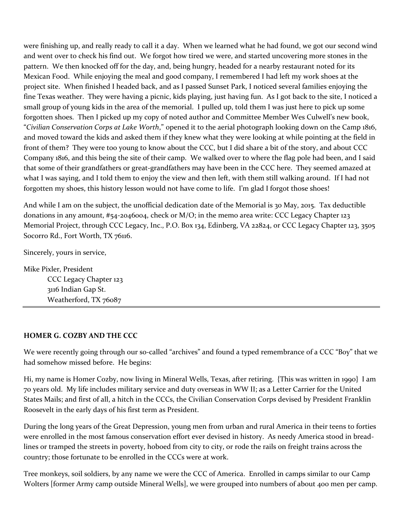were finishing up, and really ready to call it a day. When we learned what he had found, we got our second wind and went over to check his find out. We forgot how tired we were, and started uncovering more stones in the pattern. We then knocked off for the day, and, being hungry, headed for a nearby restaurant noted for its Mexican Food. While enjoying the meal and good company, I remembered I had left my work shoes at the project site. When finished I headed back, and as I passed Sunset Park, I noticed several families enjoying the fine Texas weather. They were having a picnic, kids playing, just having fun. As I got back to the site, I noticed a small group of young kids in the area of the memorial. I pulled up, told them I was just here to pick up some forgotten shoes. Then I picked up my copy of noted author and Committee Member Wes Culwell's new book, "*Civilian Conservation Corps at Lake Worth*," opened it to the aerial photograph looking down on the Camp 1816, and moved toward the kids and asked them if they knew what they were looking at while pointing at the field in front of them? They were too young to know about the CCC, but I did share a bit of the story, and about CCC Company 1816, and this being the site of their camp. We walked over to where the flag pole had been, and I said that some of their grandfathers or great-grandfathers may have been in the CCC here. They seemed amazed at what I was saying, and I told them to enjoy the view and then left, with them still walking around. If I had not forgotten my shoes, this history lesson would not have come to life. I'm glad I forgot those shoes!

And while I am on the subject, the unofficial dedication date of the Memorial is 30 May, 2015. Tax deductible donations in any amount, #54-2046004, check or M/O; in the memo area write: CCC Legacy Chapter 123 Memorial Project, through CCC Legacy, Inc., P.O. Box 134, Edinberg, VA 22824, or CCC Legacy Chapter 123, 3505 Socorro Rd., Fort Worth, TX 76116.

Sincerely, yours in service,

Mike Pixler, President CCC Legacy Chapter 123 3116 Indian Gap St. Weatherford, TX 76087

## **HOMER G. COZBY AND THE CCC**

We were recently going through our so-called "archives" and found a typed remembrance of a CCC "Boy" that we had somehow missed before. He begins:

Hi, my name is Homer Cozby, now living in Mineral Wells, Texas, after retiring. {This was written in 1990} I am 70 years old. My life includes military service and duty overseas in WW II; as a Letter Carrier for the United States Mails; and first of all, a hitch in the CCCs, the Civilian Conservation Corps devised by President Franklin Roosevelt in the early days of his first term as President.

During the long years of the Great Depression, young men from urban and rural America in their teens to forties were enrolled in the most famous conservation effort ever devised in history. As needy America stood in breadlines or tramped the streets in poverty, hoboed from city to city, or rode the rails on freight trains across the country; those fortunate to be enrolled in the CCCs were at work.

Tree monkeys, soil soldiers, by any name we were the CCC of America. Enrolled in camps similar to our Camp Wolters [former Army camp outside Mineral Wells], we were grouped into numbers of about 400 men per camp.